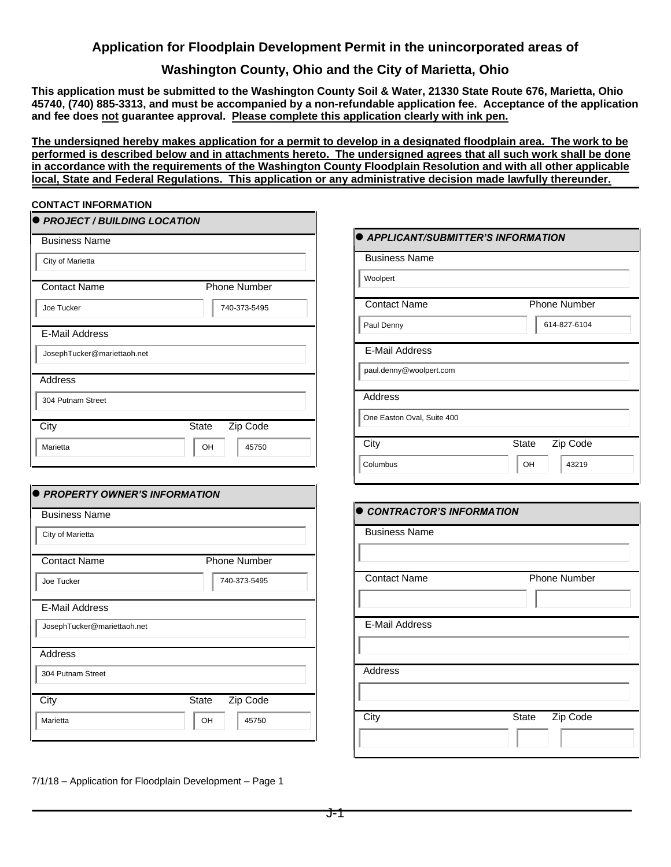## **Application for Floodplain Development Permit in the unincorporated areas of**

### **Washington County, Ohio and the City of Marietta, Ohio**

**This application must be submitted to the Washington County Soil & Water, 21330 State Route 676, Marietta, Ohio 45740, (740) 885-3313, and must be accompanied by a non-refundable application fee. Acceptance of the application and fee does not guarantee approval. Please complete this application clearly with ink pen.**

**The undersigned hereby makes application for a permit to develop in a designated floodplain area. The work to be performed is described below and in attachments hereto. The undersigned agrees that all such work shall be done in accordance with the requirements of the Washington County Floodplain Resolution and with all other applicable local, State and Federal Regulations. This application or any administrative decision made lawfully thereunder.**

### **CONTACT INFORMATION**

| $\bullet$ PROJECT / BUILDING LOCATION |                          |  |  |  |  |  |
|---------------------------------------|--------------------------|--|--|--|--|--|
| <b>Business Name</b>                  |                          |  |  |  |  |  |
| City of Marietta                      |                          |  |  |  |  |  |
| <b>Contact Name</b>                   | <b>Phone Number</b>      |  |  |  |  |  |
| Joe Tucker                            | 740-373-5495             |  |  |  |  |  |
| E-Mail Address                        |                          |  |  |  |  |  |
| JosephTucker@mariettaoh.net           |                          |  |  |  |  |  |
| Address                               |                          |  |  |  |  |  |
| 304 Putnam Street                     |                          |  |  |  |  |  |
| City                                  | Zip Code<br><b>State</b> |  |  |  |  |  |
| Marietta                              | OH<br>45750              |  |  |  |  |  |

| <b>Contact Name</b>                                         | <b>Phone Number</b>      |  |  |
|-------------------------------------------------------------|--------------------------|--|--|
| Joe Tucker                                                  | 740-373-5495             |  |  |
| <b>E-Mail Address</b>                                       |                          |  |  |
| JosephTucker@mariettaoh.net                                 |                          |  |  |
| <b>Address</b>                                              |                          |  |  |
| 304 Putnam Street                                           |                          |  |  |
| City                                                        | Zip Code<br>State        |  |  |
| Marietta                                                    | OH<br>45750              |  |  |
| <b>PROPERTY OWNER'S INFORMATION</b><br><b>Business Name</b> |                          |  |  |
| City of Marietta                                            |                          |  |  |
| <b>Contact Name</b>                                         | <b>Phone Number</b>      |  |  |
| Joe Tucker                                                  | 740-373-5495             |  |  |
| <b>E-Mail Address</b>                                       |                          |  |  |
| JosephTucker@mariettaoh.net                                 |                          |  |  |
| <b>Address</b>                                              |                          |  |  |
| 304 Putnam Street                                           |                          |  |  |
| City                                                        | Zip Code<br><b>State</b> |  |  |

7/1/18 – Application for Floodplain Development – Page 1

| <b>APPLICANT/SUBMITTER'S INFORMATION</b> |                          |  |  |
|------------------------------------------|--------------------------|--|--|
| <b>Business Name</b>                     |                          |  |  |
| Woolpert                                 |                          |  |  |
| <b>Contact Name</b>                      | Phone Number             |  |  |
| Paul Denny                               | 614-827-6104             |  |  |
| <b>E-Mail Address</b>                    |                          |  |  |
| paul.denny@woolpert.com                  |                          |  |  |
| <b>Address</b>                           |                          |  |  |
| One Easton Oval, Suite 400               |                          |  |  |
| City                                     | Zip Code<br><b>State</b> |  |  |
| Columbus                                 | OH<br>43219              |  |  |
|                                          |                          |  |  |
| CONTRACTOR'S INFORMATION                 |                          |  |  |
| <b>Business Name</b>                     |                          |  |  |
|                                          |                          |  |  |
| <b>Contact Name</b>                      | <b>Phone Number</b>      |  |  |
|                                          |                          |  |  |
| E-Mail Address                           |                          |  |  |

City State Zip Code

Address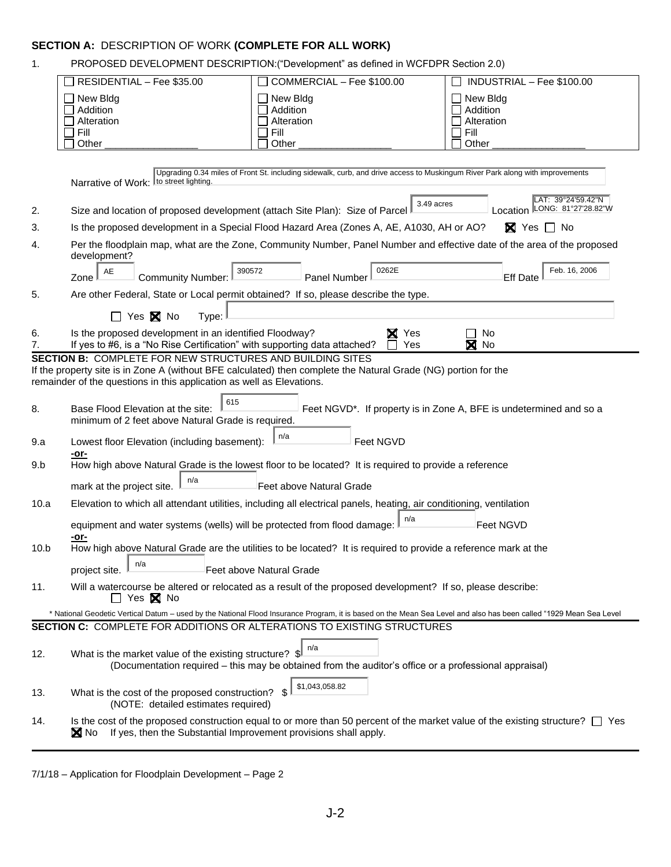# **SECTION A:** DESCRIPTION OF WORK **(COMPLETE FOR ALL WORK)**

| $\mathbf 1$ .                                                                                                                                                                                                                                                |                                                                                                                                     | PROPOSED DEVELOPMENT DESCRIPTION: ("Development" as defined in WCFDPR Section 2.0)                                                                                                                                                                   |                                                                    |  |
|--------------------------------------------------------------------------------------------------------------------------------------------------------------------------------------------------------------------------------------------------------------|-------------------------------------------------------------------------------------------------------------------------------------|------------------------------------------------------------------------------------------------------------------------------------------------------------------------------------------------------------------------------------------------------|--------------------------------------------------------------------|--|
|                                                                                                                                                                                                                                                              | RESIDENTIAL - Fee \$35.00                                                                                                           | COMMERCIAL - Fee \$100.00                                                                                                                                                                                                                            | INDUSTRIAL - Fee \$100.00                                          |  |
|                                                                                                                                                                                                                                                              | New Bldg<br>Addition<br>Alteration<br>Fill<br>Other                                                                                 | New Bldg<br>Addition<br>Alteration<br>Fill<br>Other                                                                                                                                                                                                  | New Bldg<br>Addition<br>Alteration<br>Fill<br>Other                |  |
|                                                                                                                                                                                                                                                              |                                                                                                                                     |                                                                                                                                                                                                                                                      |                                                                    |  |
|                                                                                                                                                                                                                                                              | Narrative of Work: to street lighting.                                                                                              | Upgrading 0.34 miles of Front St. including sidewalk, curb, and drive access to Muskingum River Park along with improvements                                                                                                                         | LAT: 39°24'59.42"N                                                 |  |
| 2.                                                                                                                                                                                                                                                           | Size and location of proposed development (attach Site Plan): Size of Parcel                                                        | 3.49 acres                                                                                                                                                                                                                                           | Location LONG: 81°27'28.82"W                                       |  |
| 3.                                                                                                                                                                                                                                                           |                                                                                                                                     | Is the proposed development in a Special Flood Hazard Area (Zones A, AE, A1030, AH or AO?                                                                                                                                                            | $\boxtimes$ Yes $\Box$ No                                          |  |
| 4.                                                                                                                                                                                                                                                           | development?                                                                                                                        | Per the floodplain map, what are the Zone, Community Number, Panel Number and effective date of the area of the proposed                                                                                                                             |                                                                    |  |
|                                                                                                                                                                                                                                                              | 390572<br>AE<br><b>Community Number:</b><br>Zone                                                                                    | 0262E<br>Panel Number                                                                                                                                                                                                                                | Feb. 16, 2006<br><b>Eff Date</b>                                   |  |
| 5.                                                                                                                                                                                                                                                           | Are other Federal, State or Local permit obtained? If so, please describe the type.                                                 |                                                                                                                                                                                                                                                      |                                                                    |  |
|                                                                                                                                                                                                                                                              | $\Box$ Yes $\boxtimes$ No<br>Type:                                                                                                  |                                                                                                                                                                                                                                                      |                                                                    |  |
| 6.<br>7.                                                                                                                                                                                                                                                     | Is the proposed development in an identified Floodway?<br>If yes to #6, is a "No Rise Certification" with supporting data attached? | <b>X</b> Yes<br>Yes                                                                                                                                                                                                                                  | No<br>⊠<br>No                                                      |  |
| <b>SECTION B: COMPLETE FOR NEW STRUCTURES AND BUILDING SITES</b><br>If the property site is in Zone A (without BFE calculated) then complete the Natural Grade (NG) portion for the<br>remainder of the questions in this application as well as Elevations. |                                                                                                                                     |                                                                                                                                                                                                                                                      |                                                                    |  |
| 8.                                                                                                                                                                                                                                                           | 615<br>Base Flood Elevation at the site:<br>minimum of 2 feet above Natural Grade is required.                                      |                                                                                                                                                                                                                                                      | Feet NGVD*. If property is in Zone A, BFE is undetermined and so a |  |
| 9.a                                                                                                                                                                                                                                                          | Lowest floor Elevation (including basement):                                                                                        | n/a<br>Feet NGVD                                                                                                                                                                                                                                     |                                                                    |  |
| 9.b                                                                                                                                                                                                                                                          | -or-                                                                                                                                | How high above Natural Grade is the lowest floor to be located? It is required to provide a reference                                                                                                                                                |                                                                    |  |
|                                                                                                                                                                                                                                                              | n/a<br>mark at the project site.                                                                                                    | Feet above Natural Grade                                                                                                                                                                                                                             |                                                                    |  |
| 10.a                                                                                                                                                                                                                                                         |                                                                                                                                     | Elevation to which all attendant utilities, including all electrical panels, heating, air conditioning, ventilation                                                                                                                                  |                                                                    |  |
|                                                                                                                                                                                                                                                              | equipment and water systems (wells) will be protected from flood damage:                                                            | n/a                                                                                                                                                                                                                                                  | Feet NGVD                                                          |  |
| 10.b                                                                                                                                                                                                                                                         | <u>-or-</u>                                                                                                                         | How high above Natural Grade are the utilities to be located? It is required to provide a reference mark at the                                                                                                                                      |                                                                    |  |
|                                                                                                                                                                                                                                                              | n/a<br>project site.                                                                                                                | Feet above Natural Grade                                                                                                                                                                                                                             |                                                                    |  |
| 11.                                                                                                                                                                                                                                                          | $\Box$ Yes $\boxtimes$ No                                                                                                           | Will a watercourse be altered or relocated as a result of the proposed development? If so, please describe:                                                                                                                                          |                                                                    |  |
|                                                                                                                                                                                                                                                              |                                                                                                                                     | * National Geodetic Vertical Datum - used by the National Flood Insurance Program, it is based on the Mean Sea Level and also has been called "1929 Mean Sea Level<br><b>SECTION C: COMPLETE FOR ADDITIONS OR ALTERATIONS TO EXISTING STRUCTURES</b> |                                                                    |  |
|                                                                                                                                                                                                                                                              |                                                                                                                                     |                                                                                                                                                                                                                                                      |                                                                    |  |
| 12.                                                                                                                                                                                                                                                          | What is the market value of the existing structure? $\mathbb{S}^{\parallel}$                                                        | n/a<br>(Documentation required – this may be obtained from the auditor's office or a professional appraisal)                                                                                                                                         |                                                                    |  |
| 13.                                                                                                                                                                                                                                                          | What is the cost of the proposed construction?<br>(NOTE: detailed estimates required)                                               | \$1,043,058.82<br>\$                                                                                                                                                                                                                                 |                                                                    |  |
| 14.                                                                                                                                                                                                                                                          | If yes, then the Substantial Improvement provisions shall apply.<br><b>X</b> No                                                     | Is the cost of the proposed construction equal to or more than 50 percent of the market value of the existing structure? $\Box$ Yes                                                                                                                  |                                                                    |  |
|                                                                                                                                                                                                                                                              |                                                                                                                                     |                                                                                                                                                                                                                                                      |                                                                    |  |

<sup>7/1/18 –</sup> Application for Floodplain Development – Page 2